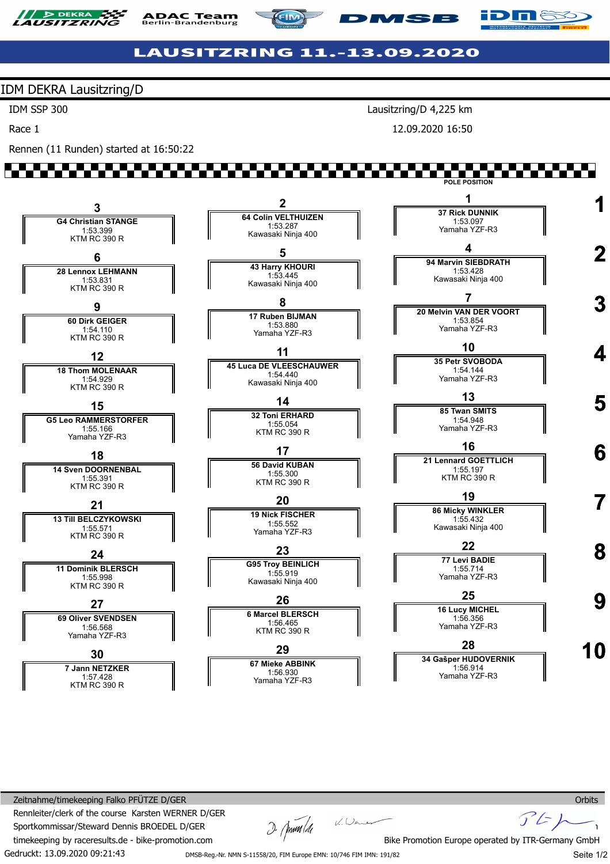

**ADAC Team**<br>Berlin-Brandenburg





## **LAUSITZRING 11.-13.09.2020**

#### IDM DEKRA Lausitzring/D

IDM SSP 300

Race 1

Rennen (11 Runden) started at 16:50:22

Lausitzring/D 4,225 km

**MSB** 

12.09.2020 16:50

# an di Tinggar



Gedruckt: 13.09.2020 09:21:43 Zeitnahme/timekeeping Falko PFÜTZE D/GER Rennleiter/clerk of the course Karsten WERNER D/GER Sportkommissar/Steward Dennis BROEDEL D/GER timekeeping by raceresults.de - bike-promotion.com

 $D$   $\left(\frac{1}{2}\right)^{2}$   $\left(\frac{1}{2}\right)^{2}$ 

Seite 1/2

**Orbits** 

 $\mathcal{F}$ 

DMSB-Reg.-Nr. NMN S-11558/20, FIM Europe EMN: 10/746 FIM IMN: 191/82